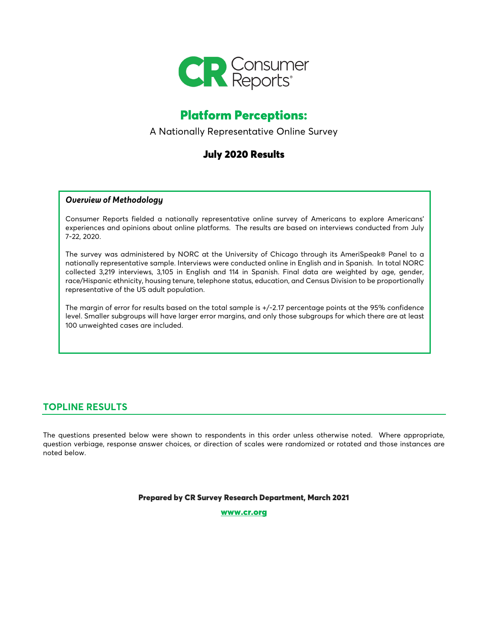

# Platform Perceptions:

A Nationally Representative Online Survey

# July 2020 Results

#### *Overview of Methodology*

Consumer Reports fielded a nationally representative online survey of Americans to explore Americans' experiences and opinions about online platforms. The results are based on interviews conducted from July 7-22, 2020.

The survey was administered by NORC at the University of Chicago through its AmeriSpeak® Panel to a nationally representative sample. Interviews were conducted online in English and in Spanish. In total NORC collected 3,219 interviews, 3,105 in English and 114 in Spanish. Final data are weighted by age, gender, race/Hispanic ethnicity, housing tenure, telephone status, education, and Census Division to be proportionally representative of the US adult population.

The margin of error for results based on the total sample is +/-2.17 percentage points at the 95% confidence level. Smaller subgroups will have larger error margins, and only those subgroups for which there are at least 100 unweighted cases are included.

# **TOPLINE RESULTS**

The questions presented below were shown to respondents in this order unless otherwise noted. Where appropriate, question verbiage, response answer choices, or direction of scales were randomized or rotated and those instances are noted below.

Prepared by CR Survey Research Department, March 2021

[www.cr.org](http://www.cr.org/)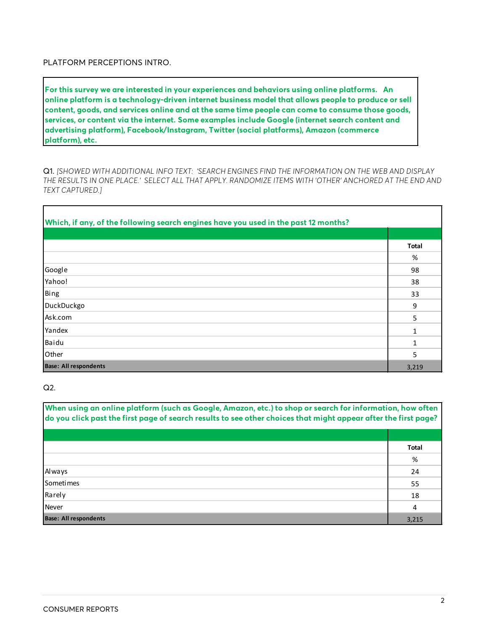PLATFORM PERCEPTIONS INTRO.

**For this survey we are interested in your experiences and behaviors using online platforms. An online platform is a technology-driven internet business model that allows people to produce or sell content, goods, and services online and at the same time people can come to consume those goods, services, or content via the internet. Some examples include Google (internet search content and advertising platform), Facebook/Instagram, Twitter (social platforms), Amazon (commerce platform), etc.**

Q1. *[SHOWED WITH ADDITIONAL INFO TEXT: 'SEARCH ENGINES FIND THE INFORMATION ON THE WEB AND DISPLAY THE RESULTS IN ONE PLACE.' SELECT ALL THAT APPLY. RANDOMIZE ITEMS WITH 'OTHER' ANCHORED AT THE END AND TEXT CAPTURED.]*

| Which, if any, of the following search engines have you used in the past 12 months? |       |
|-------------------------------------------------------------------------------------|-------|
|                                                                                     |       |
|                                                                                     | Total |
|                                                                                     | %     |
| Google                                                                              | 98    |
| Yahoo!                                                                              | 38    |
| Bing                                                                                | 33    |
| DuckDuckgo                                                                          | 9     |
| Ask.com                                                                             | 5     |
| Yandex                                                                              | 1     |
| Baidu                                                                               | 1     |
| Other                                                                               | 5     |
| <b>Base: All respondents</b>                                                        | 3,219 |

Q2.

| When using an online platform (such as Google, Amazon, etc.) to shop or search for information, how often<br>do you click past the first page of search results to see other choices that might appear after the first page? |              |
|------------------------------------------------------------------------------------------------------------------------------------------------------------------------------------------------------------------------------|--------------|
|                                                                                                                                                                                                                              |              |
|                                                                                                                                                                                                                              | <b>Total</b> |
|                                                                                                                                                                                                                              | %            |
| Always                                                                                                                                                                                                                       | 24           |
| <b>Sometimes</b>                                                                                                                                                                                                             | 55           |
| Rarely                                                                                                                                                                                                                       | 18           |
| <b>Never</b>                                                                                                                                                                                                                 | 4            |
| <b>Base: All respondents</b>                                                                                                                                                                                                 | 3.215        |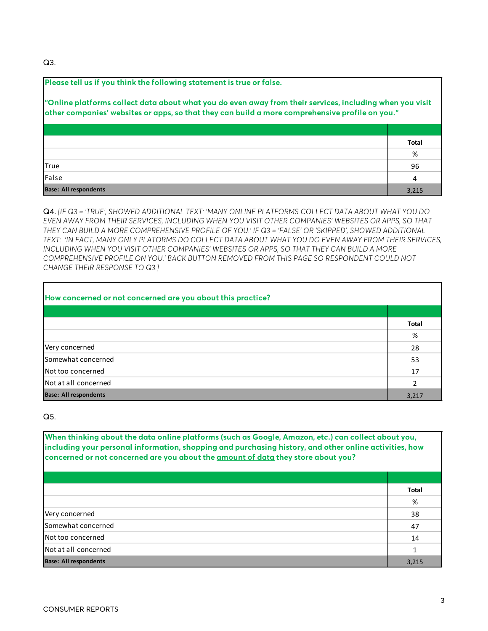Q3.

| Please tell us if you think the following statement is true or false.                                                                                                                                       |              |
|-------------------------------------------------------------------------------------------------------------------------------------------------------------------------------------------------------------|--------------|
| "Online platforms collect data about what you do even away from their services, including when you visit<br>other companies' websites or apps, so that they can build a more comprehensive profile on you." |              |
|                                                                                                                                                                                                             | <b>Total</b> |
|                                                                                                                                                                                                             | %            |
| <b>True</b>                                                                                                                                                                                                 | 96           |
| <b>IFalse</b>                                                                                                                                                                                               | 4            |
| <b>Base: All respondents</b>                                                                                                                                                                                | 3,215        |

Q4. *[IF Q3 = 'TRUE', SHOWED ADDITIONAL TEXT: 'MANY ONLINE PLATFORMS COLLECT DATA ABOUT WHAT YOU DO EVEN AWAY FROM THEIR SERVICES, INCLUDING WHEN YOU VISIT OTHER COMPANIES' WEBSITES OR APPS, SO THAT THEY CAN BUILD A MORE COMPREHENSIVE PROFILE OF YOU.' IF Q3 = 'FALSE' OR 'SKIPPED', SHOWED ADDITIONAL TEXT: 'IN FACT, MANY ONLY PLATORMS DO COLLECT DATA ABOUT WHAT YOU DO EVEN AWAY FROM THEIR SERVICES, INCLUDING WHEN YOU VISIT OTHER COMPANIES' WEBSITES OR APPS, SO THAT THEY CAN BUILD A MORE COMPREHENSIVE PROFILE ON YOU.' BACK BUTTON REMOVED FROM THIS PAGE SO RESPONDENT COULD NOT CHANGE THEIR RESPONSE TO Q3.]*

| How concerned or not concerned are you about this practice? |              |
|-------------------------------------------------------------|--------------|
|                                                             |              |
|                                                             | <b>Total</b> |
|                                                             | %            |
| Very concerned                                              | 28           |
| Somewhat concerned                                          | 53           |
| Not too concerned                                           | 17           |
| Not at all concerned                                        | 2            |
| <b>Base: All respondents</b>                                | 3,217        |

Q5.

**When thinking about the data online platforms (such as Google, Amazon, etc.) can collect about you, including your personal information, shopping and purchasing history, and other online activities, how concerned or not concerned are you about the amount of data they store about you?**

|                              | Total |
|------------------------------|-------|
|                              | %     |
| Very concerned               | 38    |
| Somewhat concerned           | 47    |
| Not too concerned            | 14    |
| Not at all concerned         | 1     |
| <b>Base: All respondents</b> | 3,215 |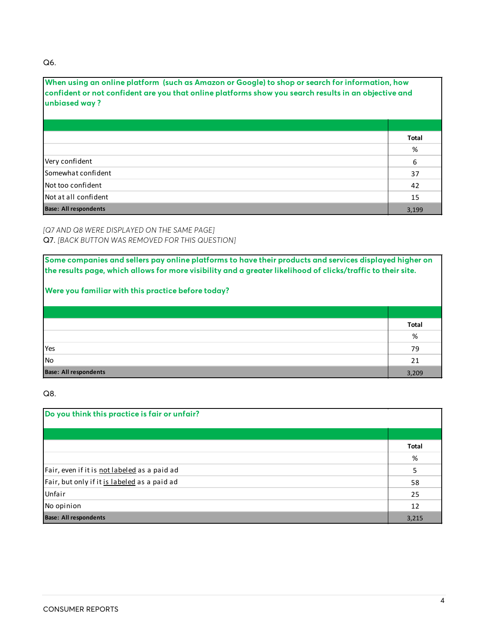#### Q6.

| When using an online platform (such as Amazon or Google) to shop or search for information, how<br>confident or not confident are you that online platforms show you search results in an objective and<br>unbiased way? |       |
|--------------------------------------------------------------------------------------------------------------------------------------------------------------------------------------------------------------------------|-------|
|                                                                                                                                                                                                                          |       |
|                                                                                                                                                                                                                          | Total |
|                                                                                                                                                                                                                          | %     |
| Very confident                                                                                                                                                                                                           | 6     |
| l Somewhat confident                                                                                                                                                                                                     | 37    |
| lNot too confident                                                                                                                                                                                                       | 42    |
| lNot at all confident                                                                                                                                                                                                    | 15    |
| <b>Base: All respondents</b>                                                                                                                                                                                             | 3.199 |

*[Q7 AND Q8 WERE DISPLAYED ON THE SAME PAGE]*  Q7. *[BACK BUTTON WAS REMOVED FOR THIS QUESTION]*

**Some companies and sellers pay online platforms to have their products and services displayed higher on the results page, which allows for more visibility and a greater likelihood of clicks/traffic to their site.** 

# **Were you familiar with this practice before today?**

|                              | <b>Total</b> |
|------------------------------|--------------|
|                              | %            |
| <b>Yes</b>                   | 79           |
| No                           | 21           |
| <b>Base: All respondents</b> | 3,209        |

Q8.

| Do you think this practice is fair or unfair? |       |
|-----------------------------------------------|-------|
|                                               |       |
|                                               | Total |
|                                               | %     |
| Fair, even if it is not labeled as a paid ad  | 5     |
| Fair, but only if it is labeled as a paid ad  | 58    |
| Unfair                                        | 25    |
| No opinion                                    | 12    |
| <b>Base: All respondents</b>                  | 3,215 |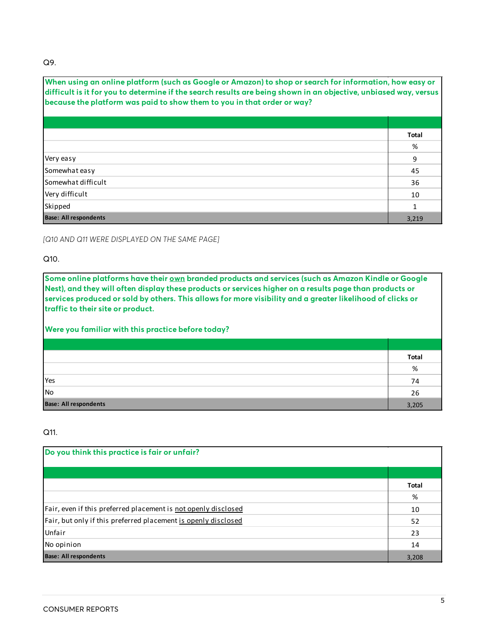#### Q9.

| When using an online platform (such as Google or Amazon) to shop or search for information, how easy or<br>difficult is it for you to determine if the search results are being shown in an objective, unbiased way, versus<br>because the platform was paid to show them to you in that order or way? |       |
|--------------------------------------------------------------------------------------------------------------------------------------------------------------------------------------------------------------------------------------------------------------------------------------------------------|-------|
|                                                                                                                                                                                                                                                                                                        |       |
|                                                                                                                                                                                                                                                                                                        | Total |
|                                                                                                                                                                                                                                                                                                        | %     |
| Very easy                                                                                                                                                                                                                                                                                              | 9     |
| Somewhat easy                                                                                                                                                                                                                                                                                          | 45    |
| ISomewhat difficult                                                                                                                                                                                                                                                                                    | 36    |
| Very difficult                                                                                                                                                                                                                                                                                         | 10    |
| Skipped                                                                                                                                                                                                                                                                                                | 1     |
| <b>Base: All respondents</b>                                                                                                                                                                                                                                                                           | 3,219 |

*[Q10 AND Q11 WERE DISPLAYED ON THE SAME PAGE]* 

#### Q10.

**Some online platforms have their own branded products and services (such as Amazon Kindle or Google Nest), and they will often display these products or services higher on a results page than products or services produced or sold by others. This allows for more visibility and a greater likelihood of clicks or traffic to their site or product.** 

### **Were you familiar with this practice before today?**

|                              | Total |
|------------------------------|-------|
|                              | %     |
| Yes                          | 74    |
| No                           | 26    |
| <b>Base: All respondents</b> | 3,205 |

#### Q11.

| Do you think this practice is fair or unfair?                  |              |
|----------------------------------------------------------------|--------------|
|                                                                |              |
|                                                                | <b>Total</b> |
|                                                                | %            |
| Fair, even if this preferred placement is not openly disclosed | 10           |
| Fair, but only if this preferred placement is openly disclosed | 52           |
| Unfair                                                         | 23           |
| No opinion                                                     | 14           |
| <b>Base: All respondents</b>                                   | 3,208        |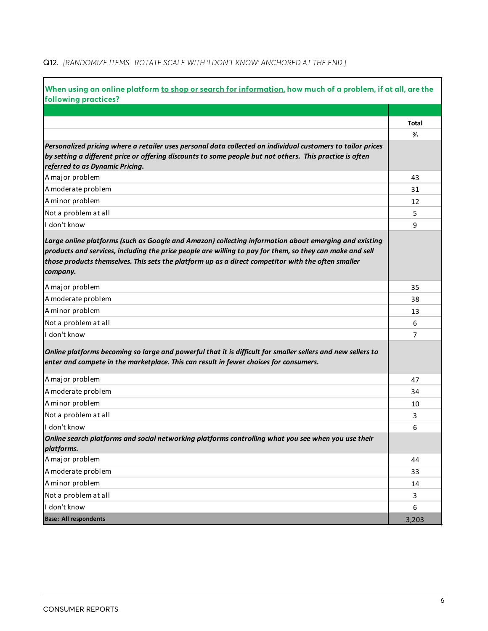### Q12. *[RANDOMIZE ITEMS. ROTATE SCALE WITH 'I DON'T KNOW' ANCHORED AT THE END.]*

| When using an online platform to shop or search for information, how much of a problem, if at all, are the                                                                                                                                                                                                                          |                   |
|-------------------------------------------------------------------------------------------------------------------------------------------------------------------------------------------------------------------------------------------------------------------------------------------------------------------------------------|-------------------|
| following practices?                                                                                                                                                                                                                                                                                                                |                   |
|                                                                                                                                                                                                                                                                                                                                     |                   |
|                                                                                                                                                                                                                                                                                                                                     | <b>Total</b><br>% |
| Personalized pricing where a retailer uses personal data collected on individual customers to tailor prices                                                                                                                                                                                                                         |                   |
| by setting a different price or offering discounts to some people but not others. This practice is often                                                                                                                                                                                                                            |                   |
| referred to as Dynamic Pricing.<br>A major problem                                                                                                                                                                                                                                                                                  |                   |
|                                                                                                                                                                                                                                                                                                                                     | 43                |
| A moderate problem                                                                                                                                                                                                                                                                                                                  | 31                |
| A minor problem                                                                                                                                                                                                                                                                                                                     | 12                |
| Not a problem at all                                                                                                                                                                                                                                                                                                                | 5                 |
| I don't know                                                                                                                                                                                                                                                                                                                        | 9                 |
| Large online platforms (such as Google and Amazon) collecting information about emerging and existing<br>products and services, including the price people are willing to pay for them, so they can make and sell<br>those products themselves. This sets the platform up as a direct competitor with the often smaller<br>company. |                   |
| A major problem                                                                                                                                                                                                                                                                                                                     | 35                |
| A moderate problem                                                                                                                                                                                                                                                                                                                  | 38                |
| A minor problem                                                                                                                                                                                                                                                                                                                     | 13                |
| Not a problem at all                                                                                                                                                                                                                                                                                                                | 6                 |
| I don't know                                                                                                                                                                                                                                                                                                                        | 7                 |
| Online platforms becoming so large and powerful that it is difficult for smaller sellers and new sellers to<br>enter and compete in the marketplace. This can result in fewer choices for consumers.                                                                                                                                |                   |
| A major problem                                                                                                                                                                                                                                                                                                                     | 47                |
| A moderate problem                                                                                                                                                                                                                                                                                                                  | 34                |
| A minor problem                                                                                                                                                                                                                                                                                                                     | 10                |
| Not a problem at all                                                                                                                                                                                                                                                                                                                | 3                 |
| I don't know                                                                                                                                                                                                                                                                                                                        | 6                 |
| Online search platforms and social networking platforms controlling what you see when you use their<br>platforms.                                                                                                                                                                                                                   |                   |
| A major problem                                                                                                                                                                                                                                                                                                                     | 44                |
| A moderate problem                                                                                                                                                                                                                                                                                                                  | 33                |
| A minor problem                                                                                                                                                                                                                                                                                                                     | 14                |
| Not a problem at all                                                                                                                                                                                                                                                                                                                | 3                 |
| I don't know                                                                                                                                                                                                                                                                                                                        | 6                 |
| <b>Base: All respondents</b>                                                                                                                                                                                                                                                                                                        | 3,203             |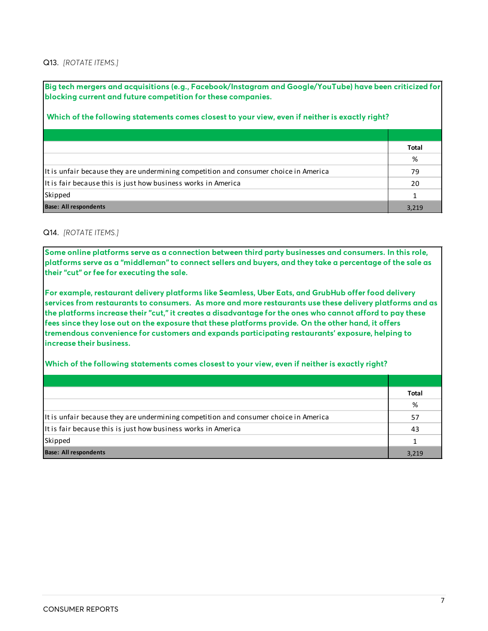#### Q13. *[ROTATE ITEMS.]*

**Big tech mergers and acquisitions (e.g., Facebook/Instagram and Google/YouTube) have been criticized for blocking current and future competition for these companies.**

### **Which of the following statements comes closest to your view, even if neither is exactly right?**

|                                                                                      | Total |
|--------------------------------------------------------------------------------------|-------|
|                                                                                      | %     |
| It is unfair because they are undermining competition and consumer choice in America | 79    |
| It is fair because this is just how business works in America                        | 20    |
| Skipped                                                                              |       |
| <b>Base: All respondents</b>                                                         | 3.219 |

#### Q14. *[ROTATE ITEMS.]*

**Some online platforms serve as a connection between third party businesses and consumers. In this role, platforms serve as a "middleman" to connect sellers and buyers, and they take a percentage of the sale as their "cut" or fee for executing the sale.**

**For example, restaurant delivery platforms like Seamless, Uber Eats, and GrubHub offer food delivery services from restaurants to consumers. As more and more restaurants use these delivery platforms and as the platforms increase their "cut," it creates a disadvantage for the ones who cannot afford to pay these fees since they lose out on the exposure that these platforms provide. On the other hand, it offers tremendous convenience for customers and expands participating restaurants' exposure, helping to increase their business.** 

**Which of the following statements comes closest to your view, even if neither is exactly right?**

|                                                                                      | <b>Total</b> |
|--------------------------------------------------------------------------------------|--------------|
|                                                                                      | %            |
| It is unfair because they are undermining competition and consumer choice in America | 57           |
| It is fair because this is just how business works in America                        | 43           |
| Skipped                                                                              |              |
| <b>Base: All respondents</b>                                                         | 3.219        |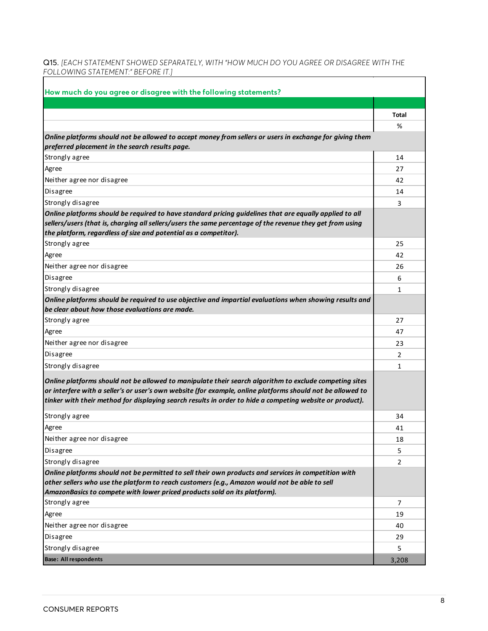Q15. *[EACH STATEMENT SHOWED SEPARATELY, WITH "HOW MUCH DO YOU AGREE OR DISAGREE WITH THE FOLLOWING STATEMENT:" BEFORE IT.]*

| How much do you agree or disagree with the following statements?                                                                                                                                                                                                                         |       |
|------------------------------------------------------------------------------------------------------------------------------------------------------------------------------------------------------------------------------------------------------------------------------------------|-------|
|                                                                                                                                                                                                                                                                                          |       |
|                                                                                                                                                                                                                                                                                          | Total |
|                                                                                                                                                                                                                                                                                          | %     |
| Online platforms should not be allowed to accept money from sellers or users in exchange for giving them<br>preferred placement in the search results page.                                                                                                                              |       |
| Strongly agree                                                                                                                                                                                                                                                                           | 14    |
| Agree                                                                                                                                                                                                                                                                                    | 27    |
| Neither agree nor disagree                                                                                                                                                                                                                                                               | 42    |
| <b>Disagree</b>                                                                                                                                                                                                                                                                          | 14    |
| Strongly disagree                                                                                                                                                                                                                                                                        | 3     |
| Online platforms should be required to have standard pricing guidelines that are equally applied to all<br>sellers/users (that is, charging all sellers/users the same percentage of the revenue they get from using<br>the platform, regardless of size and potential as a competitor). |       |
| Strongly agree                                                                                                                                                                                                                                                                           | 25    |
| Agree                                                                                                                                                                                                                                                                                    | 42    |
| Neither agree nor disagree                                                                                                                                                                                                                                                               | 26    |
| <b>Disagree</b>                                                                                                                                                                                                                                                                          | 6     |
| Strongly disagree                                                                                                                                                                                                                                                                        | 1     |
| Online platforms should be required to use objective and impartial evaluations when showing results and                                                                                                                                                                                  |       |
| be clear about how those evaluations are made.                                                                                                                                                                                                                                           |       |
| Strongly agree                                                                                                                                                                                                                                                                           | 27    |
| Agree                                                                                                                                                                                                                                                                                    | 47    |
| Neither agree nor disagree                                                                                                                                                                                                                                                               | 23    |
| Disagree                                                                                                                                                                                                                                                                                 | 2     |
| Strongly disagree                                                                                                                                                                                                                                                                        | 1     |
| Online platforms should not be allowed to manipulate their search algorithm to exclude competing sites                                                                                                                                                                                   |       |
| or interfere with a seller's or user's own website (for example, online platforms should not be allowed to                                                                                                                                                                               |       |
| tinker with their method for displaying search results in order to hide a competing website or product).                                                                                                                                                                                 |       |
| Strongly agree                                                                                                                                                                                                                                                                           | 34    |
| Agree                                                                                                                                                                                                                                                                                    | 41    |
| Neither agree nor disagree                                                                                                                                                                                                                                                               | 18    |
| <b>Disagree</b>                                                                                                                                                                                                                                                                          | 5     |
| Strongly disagree                                                                                                                                                                                                                                                                        | 2     |
| Online platforms should not be permitted to sell their own products and services in competition with<br>other sellers who use the platform to reach customers (e.g., Amazon would not be able to sell                                                                                    |       |
| AmazonBasics to compete with lower priced products sold on its platform).                                                                                                                                                                                                                |       |
| Strongly agree                                                                                                                                                                                                                                                                           | 7     |
| Agree                                                                                                                                                                                                                                                                                    | 19    |
| Neither agree nor disagree                                                                                                                                                                                                                                                               | 40    |
| Disagree                                                                                                                                                                                                                                                                                 | 29    |
| Strongly disagree                                                                                                                                                                                                                                                                        | 5     |
| <b>Base: All respondents</b>                                                                                                                                                                                                                                                             | 3,208 |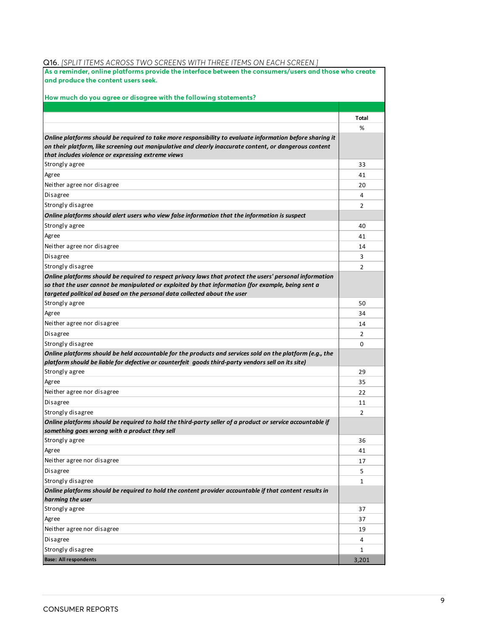|  |  |  |  |  | <b>Q16.</b> [SPLIT ITEMS ACROSS TWO SCREENS WITH THREE ITEMS ON EACH SCREEN.] |
|--|--|--|--|--|-------------------------------------------------------------------------------|
|--|--|--|--|--|-------------------------------------------------------------------------------|

| As a reminder, online platforms provide the interface between the consumers/users and those who create<br>and produce the content users seek.                                                                        |       |
|----------------------------------------------------------------------------------------------------------------------------------------------------------------------------------------------------------------------|-------|
|                                                                                                                                                                                                                      |       |
| How much do you agree or disagree with the following statements?                                                                                                                                                     |       |
|                                                                                                                                                                                                                      |       |
|                                                                                                                                                                                                                      | Total |
|                                                                                                                                                                                                                      | %     |
| Online platforms should be required to take more responsibility to evaluate information before sharing it<br>on their platform, like screening out manipulative and clearly inaccurate content, or dangerous content |       |
| that includes violence or expressing extreme views                                                                                                                                                                   |       |
| Strongly agree                                                                                                                                                                                                       | 33    |
| Agree                                                                                                                                                                                                                | 41    |
| Neither agree nor disagree                                                                                                                                                                                           | 20    |
| Disagree                                                                                                                                                                                                             | 4     |
| Strongly disagree                                                                                                                                                                                                    | 2     |
| Online platforms should alert users who view false information that the information is suspect                                                                                                                       |       |
| Strongly agree                                                                                                                                                                                                       | 40    |
| Agree                                                                                                                                                                                                                | 41    |
| Neither agree nor disagree                                                                                                                                                                                           |       |
| Disagree                                                                                                                                                                                                             | 14    |
|                                                                                                                                                                                                                      | 3     |
| Strongly disagree<br>Online platforms should be required to respect privacy laws that protect the users' personal information                                                                                        | 2     |
| so that the user cannot be manipulated or exploited by that information (for example, being sent a                                                                                                                   |       |
| targeted political ad based on the personal data collected about the user                                                                                                                                            |       |
| Strongly agree                                                                                                                                                                                                       | 50    |
| Agree                                                                                                                                                                                                                | 34    |
| Neither agree nor disagree                                                                                                                                                                                           | 14    |
| Disagree                                                                                                                                                                                                             | 2     |
| Strongly disagree                                                                                                                                                                                                    | 0     |
| Online platforms should be held accountable for the products and services sold on the platform (e.g., the                                                                                                            |       |
| platform should be liable for defective or counterfeit goods third-party vendors sell on its site)                                                                                                                   |       |
| Strongly agree                                                                                                                                                                                                       | 29    |
| Agree                                                                                                                                                                                                                | 35    |
| Neither agree nor disagree                                                                                                                                                                                           | 22    |
| Disagree                                                                                                                                                                                                             | 11    |
| Strongly disagree                                                                                                                                                                                                    | 2     |
| Online platforms should be required to hold the third-party seller of a product or service accountable if<br>something goes wrong with a product they sell                                                           |       |
| Strongly agree                                                                                                                                                                                                       | 36    |
| Agree                                                                                                                                                                                                                | 41    |
| Neither agree nor disagree                                                                                                                                                                                           | 17    |
| Disagree                                                                                                                                                                                                             | 5     |
| Strongly disagree                                                                                                                                                                                                    | 1     |
| Online platforms should be required to hold the content provider accountable if that content results in                                                                                                              |       |
| harming the user                                                                                                                                                                                                     |       |
| Strongly agree                                                                                                                                                                                                       | 37    |
| Agree                                                                                                                                                                                                                | 37    |
| Neither agree nor disagree                                                                                                                                                                                           | 19    |
| Disagree                                                                                                                                                                                                             | 4     |
| Strongly disagree                                                                                                                                                                                                    | 1     |
| <b>Base: All respondents</b>                                                                                                                                                                                         | 3,201 |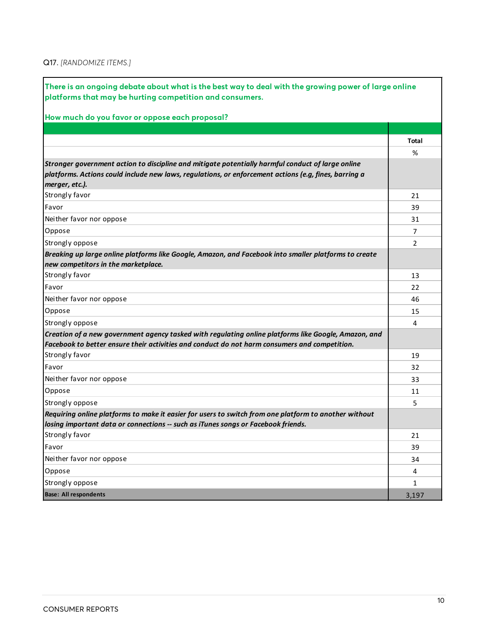### Q17. *[RANDOMIZE ITEMS.]*

| There is an ongoing debate about what is the best way to deal with the growing power of large online<br>platforms that may be hurting competition and consumers. |              |
|------------------------------------------------------------------------------------------------------------------------------------------------------------------|--------------|
| How much do you favor or oppose each proposal?                                                                                                                   |              |
|                                                                                                                                                                  |              |
|                                                                                                                                                                  | Total        |
|                                                                                                                                                                  | %            |
| Stronger government action to discipline and mitigate potentially harmful conduct of large online                                                                |              |
| platforms. Actions could include new laws, regulations, or enforcement actions (e.g, fines, barring a                                                            |              |
| merger, etc.).                                                                                                                                                   |              |
| Strongly favor                                                                                                                                                   | 21           |
| Favor                                                                                                                                                            | 39           |
| Neither favor nor oppose                                                                                                                                         | 31           |
| Oppose                                                                                                                                                           | 7            |
| Strongly oppose                                                                                                                                                  | 2            |
| Breaking up large online platforms like Google, Amazon, and Facebook into smaller platforms to create<br>new competitors in the marketplace.                     |              |
| Strongly favor                                                                                                                                                   | 13           |
| Favor                                                                                                                                                            | 22           |
| Neither favor nor oppose                                                                                                                                         | 46           |
| Oppose                                                                                                                                                           | 15           |
| Strongly oppose                                                                                                                                                  | 4            |
| Creation of a new government agency tasked with regulating online platforms like Google, Amazon, and                                                             |              |
| Facebook to better ensure their activities and conduct do not harm consumers and competition.                                                                    |              |
| Strongly favor                                                                                                                                                   | 19           |
| Favor                                                                                                                                                            | 32           |
| Neither favor nor oppose                                                                                                                                         | 33           |
| Oppose                                                                                                                                                           | 11           |
| Strongly oppose                                                                                                                                                  | 5            |
| Requiring online platforms to make it easier for users to switch from one platform to another without                                                            |              |
| losing important data or connections -- such as iTunes songs or Facebook friends.                                                                                |              |
| Strongly favor                                                                                                                                                   | 21           |
| Favor                                                                                                                                                            | 39           |
| Neither favor nor oppose                                                                                                                                         | 34           |
| Oppose                                                                                                                                                           | 4            |
| Strongly oppose                                                                                                                                                  | $\mathbf{1}$ |
| <b>Base: All respondents</b>                                                                                                                                     | 3,197        |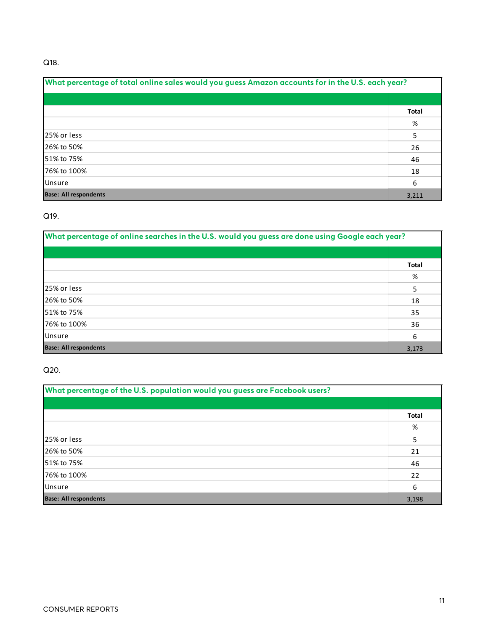### Q18.

| What percentage of total online sales would you guess Amazon accounts for in the U.S. each year? |              |
|--------------------------------------------------------------------------------------------------|--------------|
|                                                                                                  |              |
|                                                                                                  | <b>Total</b> |
|                                                                                                  | %            |
| 125% or less                                                                                     | 5            |
| 126% to 50%                                                                                      | 26           |
| 51% to 75%                                                                                       | 46           |
| 76% to 100%                                                                                      | 18           |
| Unsure                                                                                           | 6            |
| <b>Base: All respondents</b>                                                                     | 3,211        |

### Q19.

| What percentage of online searches in the U.S. would you guess are done using Google each year? |              |
|-------------------------------------------------------------------------------------------------|--------------|
|                                                                                                 |              |
|                                                                                                 | <b>Total</b> |
|                                                                                                 | %            |
| 25% or less                                                                                     | 5            |
| 26% to 50%                                                                                      | 18           |
| 51% to 75%                                                                                      | 35           |
| 76% to 100%                                                                                     | 36           |
| Unsure                                                                                          | 6            |
| <b>Base: All respondents</b>                                                                    | 3,173        |

### Q20.

| What percentage of the U.S. population would you guess are Facebook users? |       |
|----------------------------------------------------------------------------|-------|
|                                                                            |       |
|                                                                            | Total |
|                                                                            | %     |
| 125% or less                                                               | 5     |
| 126% to 50%                                                                | 21    |
| 51% to 75%                                                                 | 46    |
| 76% to 100%                                                                | 22    |
| <b>Unsure</b>                                                              | 6     |
| <b>Base: All respondents</b>                                               | 3,198 |